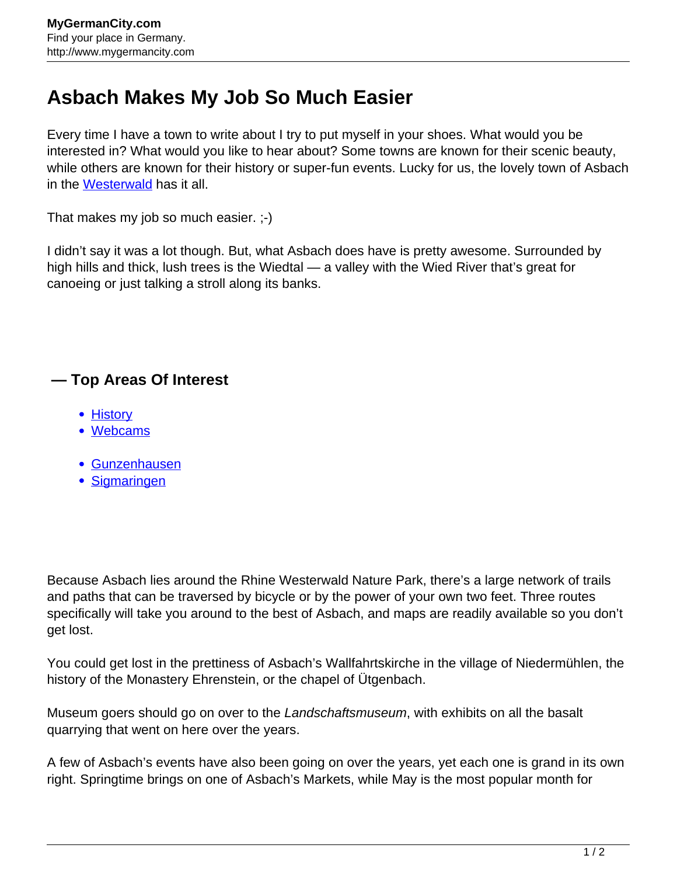## **Asbach Makes My Job So Much Easier**

Every time I have a town to write about I try to put myself in your shoes. What would you be interested in? What would you like to hear about? Some towns are known for their scenic beauty, while others are known for their history or super-fun events. Lucky for us, the lovely town of Asbach in the [Westerwald](http://www.mygermancity.com/westerwald) has it all.

That makes my job so much easier. ;-)

I didn't say it was a lot though. But, what Asbach does have is pretty awesome. Surrounded by high hills and thick, lush trees is the Wiedtal — a valley with the Wied River that's great for canoeing or just talking a stroll along its banks.

## **— Top Areas Of Interest**

- [History](http://www.mygermancity.com/leipzig-history)
- [Webcams](http://www.mygermancity.com/neustadt-holstein-webcams)
- [Gunzenhausen](http://www.mygermancity.com/gunzenhausen)
- [Sigmaringen](http://www.mygermancity.com/sigmaringen)

Because Asbach lies around the Rhine Westerwald Nature Park, there's a large network of trails and paths that can be traversed by bicycle or by the power of your own two feet. Three routes specifically will take you around to the best of Asbach, and maps are readily available so you don't get lost.

You could get lost in the prettiness of Asbach's Wallfahrtskirche in the village of Niedermühlen, the history of the Monastery Ehrenstein, or the chapel of Ütgenbach.

Museum goers should go on over to the Landschaftsmuseum, with exhibits on all the basalt quarrying that went on here over the years.

A few of Asbach's events have also been going on over the years, yet each one is grand in its own right. Springtime brings on one of Asbach's Markets, while May is the most popular month for